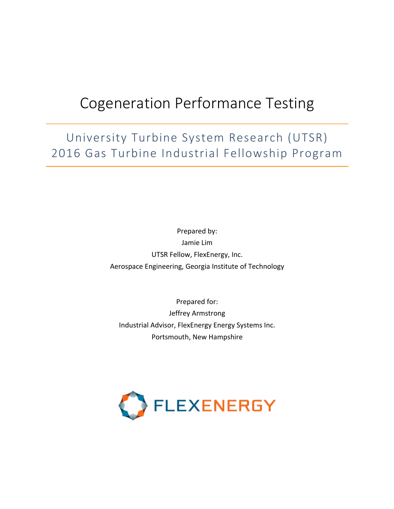# Cogeneration Performance Testing

University Turbine System Research (UTSR) 2016 Gas Turbine Industrial Fellowship Program

> Prepared by: Jamie Lim UTSR Fellow, FlexEnergy, Inc. Aerospace Engineering, Georgia Institute of Technology

Prepared for: Jeffrey Armstrong Industrial Advisor, FlexEnergy Energy Systems Inc. Portsmouth, New Hampshire

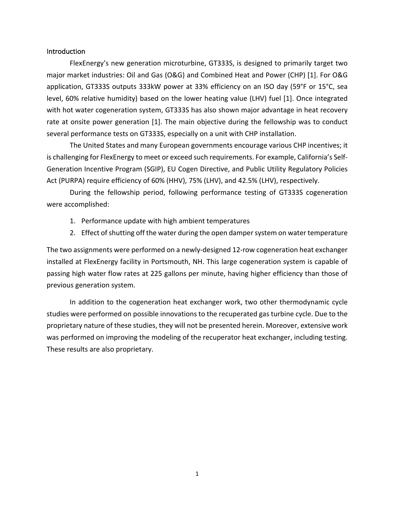#### Introduction

FlexEnergy's new generation microturbine, GT333S, is designed to primarily target two major market industries: Oil and Gas (O&G) and Combined Heat and Power (CHP) [1]. For O&G application, GT333S outputs 333kW power at 33% efficiency on an ISO day (59°F or 15°C, sea level, 60% relative humidity) based on the lower heating value (LHV) fuel [1]. Once integrated with hot water cogeneration system, GT333S has also shown major advantage in heat recovery rate at onsite power generation [1]. The main objective during the fellowship was to conduct several performance tests on GT333S, especially on a unit with CHP installation.

The United States and many European governments encourage various CHP incentives; it is challenging for FlexEnergy to meet or exceed such requirements. For example, California's Self-Generation Incentive Program (SGIP), EU Cogen Directive, and Public Utility Regulatory Policies Act (PURPA) require efficiency of 60% (HHV), 75% (LHV), and 42.5% (LHV), respectively.

During the fellowship period, following performance testing of GT333S cogeneration were accomplished:

- 1. Performance update with high ambient temperatures
- 2. Effect of shutting off the water during the open damper system on water temperature

The two assignments were performed on a newly-designed 12-row cogeneration heat exchanger installed at FlexEnergy facility in Portsmouth, NH. This large cogeneration system is capable of passing high water flow rates at 225 gallons per minute, having higher efficiency than those of previous generation system.

In addition to the cogeneration heat exchanger work, two other thermodynamic cycle studies were performed on possible innovations to the recuperated gas turbine cycle. Due to the proprietary nature of these studies, they will not be presented herein. Moreover, extensive work was performed on improving the modeling of the recuperator heat exchanger, including testing. These results are also proprietary.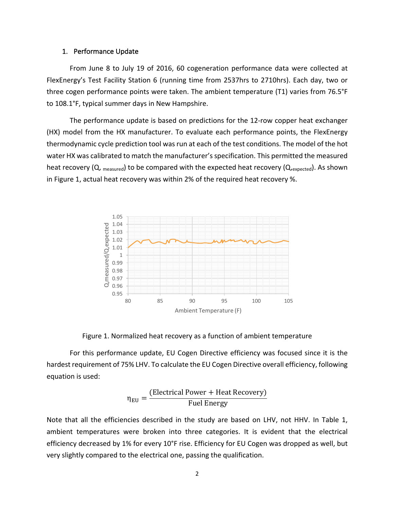#### 1. Performance Update

From June 8 to July 19 of 2016, 60 cogeneration performance data were collected at FlexEnergy's Test Facility Station 6 (running time from 2537hrs to 2710hrs). Each day, two or three cogen performance points were taken. The ambient temperature (T1) varies from 76.5°F to 108.1°F, typical summer days in New Hampshire.

The performance update is based on predictions for the 12-row copper heat exchanger (HX) model from the HX manufacturer. To evaluate each performance points, the FlexEnergy thermodynamic cycle prediction tool was run at each of the test conditions. The model of the hot water HX was calibrated to match the manufacturer's specification. This permitted the measured heat recovery (Q,  $_{measured}$ ) to be compared with the expected heat recovery ( $Q_{,expected}$ ). As shown in Figure 1, actual heat recovery was within  $2\%$  of the required heat recovery  $\%$ .



Figure 1. Normalized heat recovery as a function of ambient temperature

For this performance update, EU Cogen Directive efficiency was focused since it is the hardest requirement of 75% LHV. To calculate the EU Cogen Directive overall efficiency, following equation is used:

$$
\eta_{EU} = \frac{\text{(Electrical Power + Heat Recovery)}}{\text{Fuel Energy}}
$$

Note that all the efficiencies described in the study are based on LHV, not HHV. In Table 1, ambient temperatures were broken into three categories. It is evident that the electrical efficiency decreased by 1% for every 10°F rise. Efficiency for EU Cogen was dropped as well, but very slightly compared to the electrical one, passing the qualification.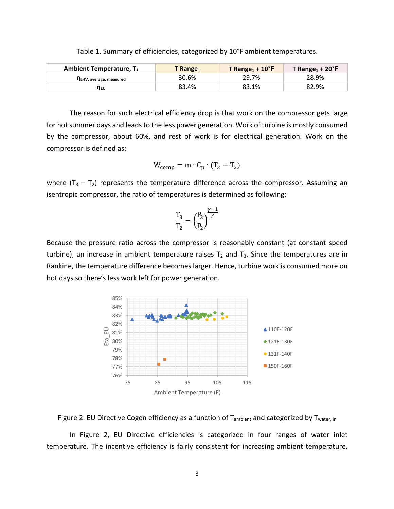| Ambient Temperature, $T_1$ | T Range <sub>1</sub> | T Range <sub>1</sub> + $10^{\circ}$ F | T Range <sub>1</sub> + 20 $\degree$ F |
|----------------------------|----------------------|---------------------------------------|---------------------------------------|
| ПLHV, average, measured    | 30.6%                | 29.7%                                 | 28.9%                                 |
| Πευ                        | 83.4%                | 83.1%                                 | 82.9%                                 |

Table 1. Summary of efficiencies, categorized by 10°F ambient temperatures.

The reason for such electrical efficiency drop is that work on the compressor gets large for hot summer days and leads to the less power generation. Work of turbine is mostly consumed by the compressor, about 60%, and rest of work is for electrical generation. Work on the compressor is defined as:

$$
W_{\text{comp}} = m \cdot C_p \cdot (T_3 - T_2)
$$

where  $(T_3 - T_2)$  represents the temperature difference across the compressor. Assuming an isentropic compressor, the ratio of temperatures is determined as following:

$$
\frac{T_3}{T_2}=\Big(\frac{P_3}{P_2}\Big)^{\!\!\frac{\gamma-1}{\gamma}}
$$

Because the pressure ratio across the compressor is reasonably constant (at constant speed turbine), an increase in ambient temperature raises  $T_2$  and  $T_3$ . Since the temperatures are in Rankine, the temperature difference becomes larger. Hence, turbine work is consumed more on hot days so there's less work left for power generation.



Figure 2. EU Directive Cogen efficiency as a function of  $T_{ambient}$  and categorized by  $T_{water, in}$ 

In Figure 2, EU Directive efficiencies is categorized in four ranges of water inlet temperature. The incentive efficiency is fairly consistent for increasing ambient temperature,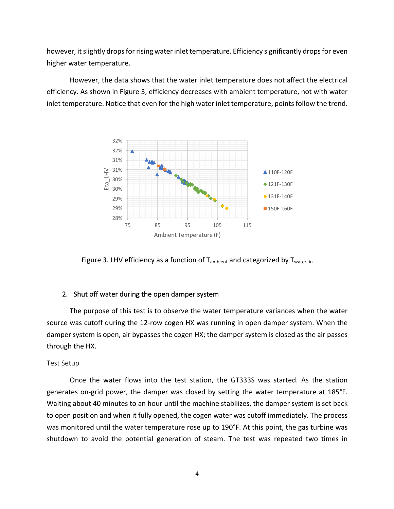however, it slightly drops for rising water inlet temperature. Efficiency significantly drops for even higher water temperature.

However, the data shows that the water inlet temperature does not affect the electrical efficiency. As shown in Figure 3, efficiency decreases with ambient temperature, not with water inlet temperature. Notice that even for the high water inlet temperature, points follow the trend.



Figure 3. LHV efficiency as a function of  $T_{\text{ambient}}$  and categorized by  $T_{\text{water, in}}$ 

### 2. Shut off water during the open damper system

The purpose of this test is to observe the water temperature variances when the water source was cutoff during the 12-row cogen HX was running in open damper system. When the damper system is open, air bypasses the cogen HX; the damper system is closed as the air passes through the HX.

#### Test Setup

Once the water flows into the test station, the GT333S was started. As the station generates on-grid power, the damper was closed by setting the water temperature at 185°F. Waiting about 40 minutes to an hour until the machine stabilizes, the damper system is set back to open position and when it fully opened, the cogen water was cutoff immediately. The process was monitored until the water temperature rose up to 190°F. At this point, the gas turbine was shutdown to avoid the potential generation of steam. The test was repeated two times in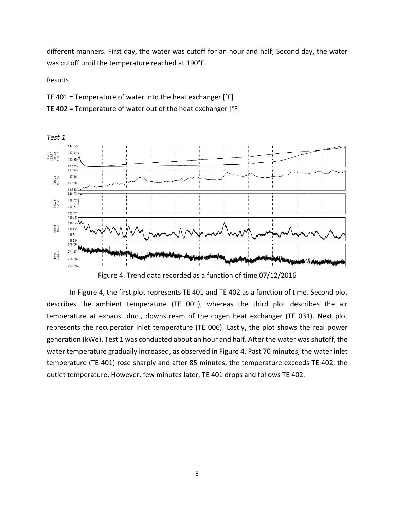different manners. First day, the water was cutoff for an hour and half; Second day, the water was cutoff until the temperature reached at 190°F.

Results

- TE 401 = Temperature of water into the heat exchanger  $[°F]$
- TE 402 = Temperature of water out of the heat exchanger  $[°F]$



*Test 1* 

Figure 4. Trend data recorded as a function of time 07/12/2016

In Figure 4, the first plot represents TE 401 and TE 402 as a function of time. Second plot describes the ambient temperature (TE 001), whereas the third plot describes the air temperature at exhaust duct, downstream of the cogen heat exchanger (TE 031). Next plot represents the recuperator inlet temperature (TE 006). Lastly, the plot shows the real power generation (kWe). Test 1 was conducted about an hour and half. After the water was shutoff, the water temperature gradually increased, as observed in Figure 4. Past 70 minutes, the water inlet temperature (TE 401) rose sharply and after 85 minutes, the temperature exceeds TE 402, the outlet temperature. However, few minutes later, TE 401 drops and follows TE 402.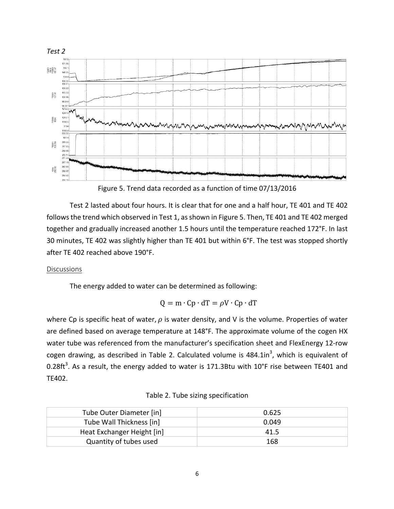

Figure 5. Trend data recorded as a function of time 07/13/2016

Test 2 lasted about four hours. It is clear that for one and a half hour, TE 401 and TE 402 follows the trend which observed in Test 1, as shown in Figure 5. Then, TE 401 and TE 402 merged together and gradually increased another 1.5 hours until the temperature reached 172°F. In last 30 minutes, TE 402 was slightly higher than TE 401 but within 6°F. The test was stopped shortly after TE 402 reached above 190°F.

## Discussions

The energy added to water can be determined as following:

$$
Q = m \cdot Cp \cdot dT = \rho V \cdot Cp \cdot dT
$$

where Cp is specific heat of water,  $\rho$  is water density, and V is the volume. Properties of water are defined based on average temperature at 148°F. The approximate volume of the cogen HX water tube was referenced from the manufacturer's specification sheet and FlexEnergy 12-row cogen drawing, as described in Table 2. Calculated volume is  $484.1$ in<sup>3</sup>, which is equivalent of 0.28ft<sup>3</sup>. As a result, the energy added to water is 171.3Btu with 10°F rise between TE401 and TE402. 

| Tube Outer Diameter [in]   | 0.625 |
|----------------------------|-------|
| Tube Wall Thickness [in]   | 0.049 |
| Heat Exchanger Height [in] | 41.5  |
| Quantity of tubes used     | 168   |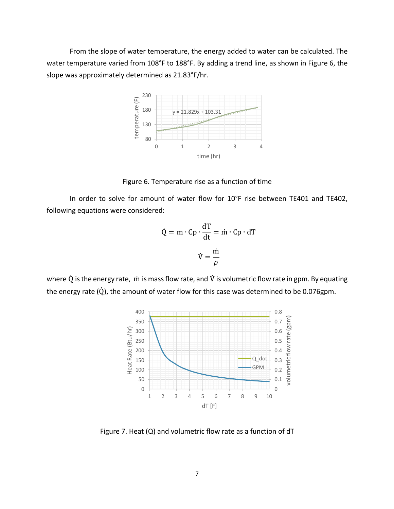From the slope of water temperature, the energy added to water can be calculated. The water temperature varied from 108°F to 188°F. By adding a trend line, as shown in Figure 6, the slope was approximately determined as 21.83°F/hr.



Figure 6. Temperature rise as a function of time

In order to solve for amount of water flow for 10°F rise between TE401 and TE402, following equations were considered:

$$
\dot{Q} = m \cdot Cp \cdot \frac{dT}{dt} = \dot{m} \cdot Cp \cdot dT
$$

$$
\dot{V} = \frac{\dot{m}}{\rho}
$$

where  $\dot{Q}$  is the energy rate,  $\dot{m}$  is mass flow rate, and  $\dot{V}$  is volumetric flow rate in gpm. By equating the energy rate  $(\dot{Q})$ , the amount of water flow for this case was determined to be 0.076gpm.



Figure 7. Heat  $(Q)$  and volumetric flow rate as a function of  $dT$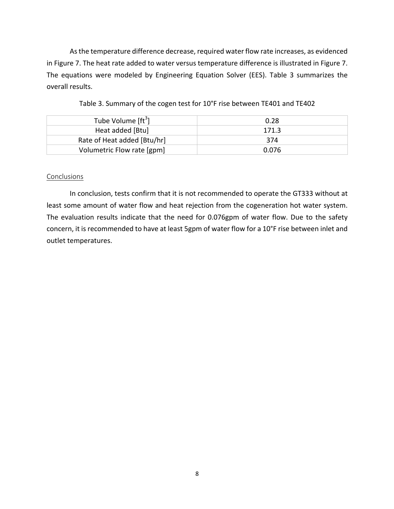As the temperature difference decrease, required water flow rate increases, as evidenced in Figure 7. The heat rate added to water versus temperature difference is illustrated in Figure 7. The equations were modeled by Engineering Equation Solver (EES). Table 3 summarizes the overall results.

| Tube Volume [ft <sup>3</sup> ] | 0.28  |
|--------------------------------|-------|
| Heat added [Btu]               | 171.3 |
| Rate of Heat added [Btu/hr]    | 374   |
| Volumetric Flow rate [gpm]     | 0.076 |

| Table 3. Summary of the cogen test for 10°F rise between TE401 and TE402 |  |  |  |  |  |
|--------------------------------------------------------------------------|--|--|--|--|--|
|--------------------------------------------------------------------------|--|--|--|--|--|

#### Conclusions

In conclusion, tests confirm that it is not recommended to operate the GT333 without at least some amount of water flow and heat rejection from the cogeneration hot water system. The evaluation results indicate that the need for 0.076gpm of water flow. Due to the safety concern, it is recommended to have at least 5gpm of water flow for a 10°F rise between inlet and outlet temperatures.